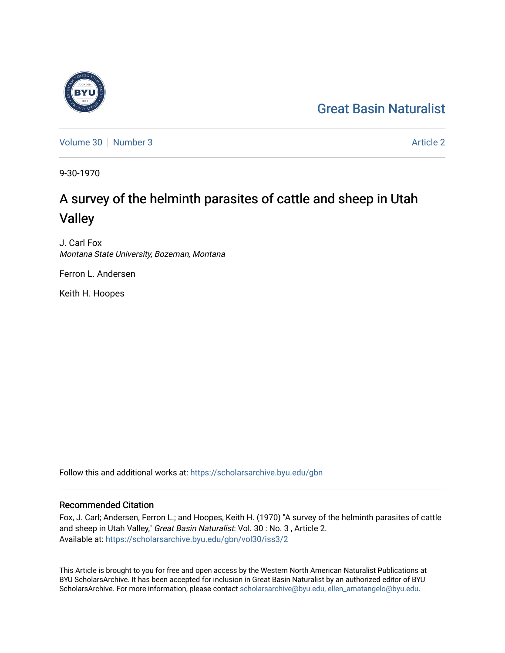## [Great Basin Naturalist](https://scholarsarchive.byu.edu/gbn)

[Volume 30](https://scholarsarchive.byu.edu/gbn/vol30) [Number 3](https://scholarsarchive.byu.edu/gbn/vol30/iss3) [Article 2](https://scholarsarchive.byu.edu/gbn/vol30/iss3/2) Article 2 Article 2 Article 2 Article 2 Article 2 Article 2

9-30-1970

# A survey of the helminth parasites of cattle and sheep in Utah Valley

J. Carl Fox Montana State University, Bozeman, Montana

Ferron L. Andersen

Keith H. Hoopes

Follow this and additional works at: [https://scholarsarchive.byu.edu/gbn](https://scholarsarchive.byu.edu/gbn?utm_source=scholarsarchive.byu.edu%2Fgbn%2Fvol30%2Fiss3%2F2&utm_medium=PDF&utm_campaign=PDFCoverPages) 

### Recommended Citation

Fox, J. Carl; Andersen, Ferron L.; and Hoopes, Keith H. (1970) "A survey of the helminth parasites of cattle and sheep in Utah Valley," Great Basin Naturalist: Vol. 30: No. 3, Article 2. Available at: [https://scholarsarchive.byu.edu/gbn/vol30/iss3/2](https://scholarsarchive.byu.edu/gbn/vol30/iss3/2?utm_source=scholarsarchive.byu.edu%2Fgbn%2Fvol30%2Fiss3%2F2&utm_medium=PDF&utm_campaign=PDFCoverPages)

This Article is brought to you for free and open access by the Western North American Naturalist Publications at BYU ScholarsArchive. It has been accepted for inclusion in Great Basin Naturalist by an authorized editor of BYU ScholarsArchive. For more information, please contact [scholarsarchive@byu.edu, ellen\\_amatangelo@byu.edu.](mailto:scholarsarchive@byu.edu,%20ellen_amatangelo@byu.edu)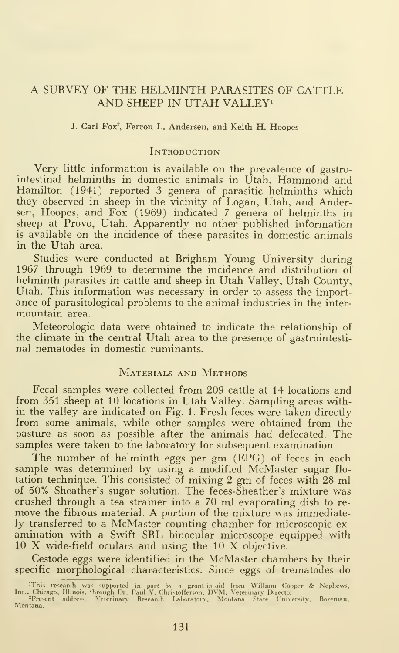#### A SURVEY OF THE HELMINTH PARASITES OF CATTLE AND SHEEP IN UTAH VALLEY<sup>1</sup>

#### J. Carl Fox<sup>2</sup>, Ferron L. Andersen, and Keith H. Hoopes

#### **INTRODUCTION**

Very little information is available on the prevalence of gastrointestinal helminths in domestic animals in Utah. Hammond and Hamilton (1941) reported 3 genera of parasitic helminths which they observed in sheep in the vicinity of Logan, Utah, and Andersen, Hoopes, and Fox (1969) indicated <sup>7</sup> genera of helminths in sheep at Provo, Utah. Apparently no other published information is available on the incidence of these parasites in domestic animals in the Utah area.

Studies were conducted at Brigham Young University during 1967 through 1969 to determine the incidence and distribution of helminth parasites in cattle and sheep in Utah Valley, Utah County, Utah. This information was necessary in order to assess the import ance of parasitological problems to the animal industries in the inter mountain area.

Meteorologic data were obtained to indicate the relationship of the climate in the central Utah area to the presence of gastrointestinal nematodes in domestic ruminants.

#### MATERIALS AND METHODS

Fecal samples were collected from 209 cattle at 14 locations and from 351 sheep at 10 locations in Utah Valley. Sampling areas within the valley are indicated on Fig. 1. Fresh feces were taken directly from some animals, while other samples were obtained from the pasture as soon as possible after the animals had defecated. The samples were taken to the laboratory for subsequent examination.

The number of helminth eggs per gm (EPG) of feces in each sample was determined by using a modified McMaster sugar flo tation technique. This consisted of mixing 2 gm of feces with 28 ml of 50% Sheather's sugar solution. The feces-Sheather's mixture was crushed through a tea strainer into a 70 ml evaporating dish to re move the fibrous material. A portion of the mixture was immediately transferred to a McMaster counting chamber for microscopic ex amination with <sup>a</sup> Swift SRL binocular microscope equipped with <sup>10</sup> X wide-field oculars and using the <sup>10</sup> X objective.

Cestode eggs were identified in the McMaster chambers by their specific morphological characteristics. Since eggs of trematodes do

<sup>&</sup>quot;This research was supported in part by a grant-in-aid from William Cooper & Nephews,<br>Inc.. Chicago, Illinois, through Dr. Paul V. Christofferson, DVM, Veterinary Director.<br>"Present address: Veterinary Research Laboratory, Montana.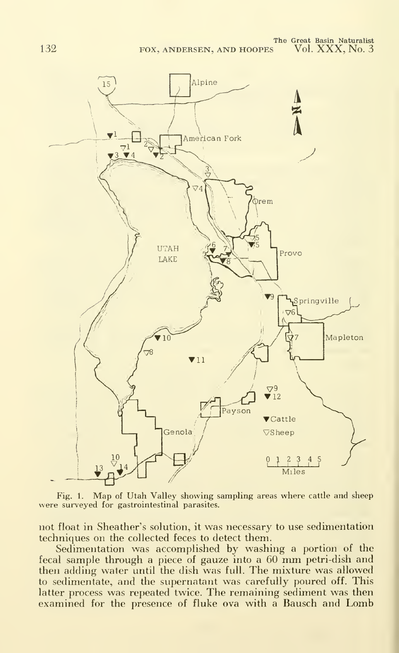

Fig. 1. Map of Utah Valley showing sampling areas where cattle and sheep were surveyed for gastrointestinal parasites.

not float in Sheather's solution, it was necessary to use sedimentation techniques on the collected feces to detect them.

Sedimentation was accomplished by washing a portion of the fecal sample through <sup>a</sup> piece of gauze into <sup>a</sup> <sup>60</sup> mm petri-dish and then adding water until the dish was full. The mixture was allowed to sedimentate, and the supernatant was carefully poured off. This latter process was repeated twice. The remaining sediment was then examined for the presence of fluke ova with <sup>a</sup> Bausch and Lomb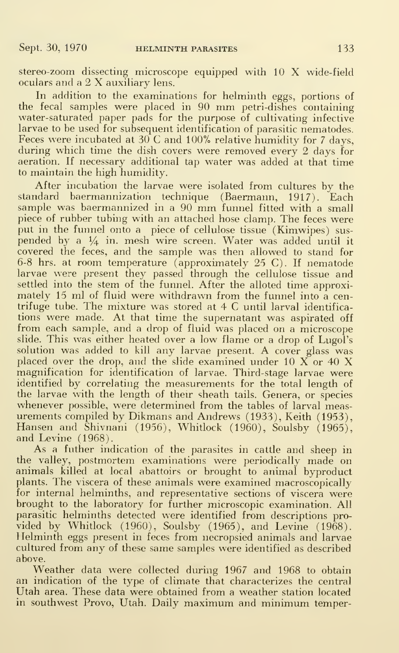stereo-zoom dissecting microscope equipped with <sup>10</sup> X wide-field oculars and <sup>a</sup> <sup>2</sup> X auxiliary lens.

In addition to the examinations for helminth eggs, portions of the fecal samples were placed in <sup>90</sup> mm petri-dishes containing water-saturated paper pads for the purpose of cultivating infective larvae to be used for subsequent identification of parasitic nematodes. Feces were incubated at  $30^{\circ}$ C and  $100\%$  relative humidity for 7 days, during which time the dish covers were removed every 2 days for aeration. If necessary additional tap water was added at that time to maintain the high humidity.

After incubation the larvae were isolated from cultures by the standard baermannization technique (Baermann, 1917). Each sample was baermannized in a 90 mm funnel fitted with a small piece of rubber tubing with an attached hose clamp. The feces were put in the funnel onto a piece of cellulose tissue (Kimwipes) sus pended by a 1/4 in. mesh wire screen. Water was added until it covered the feces, and the sample was then allowed to stand for 6-8 hrs. at room temperature (approximately 25 C). If nematode larvae were present they passed through the cellulose tissue and settled into the stem of the funnel. After the alloted time approximately 15 ml of fluid were withdrawn from the funnel into a centrifuge tube. The mixture was stored at 4 C until larval identifica tions were made. At that time the supernatant was aspirated off from each sample, and a drop of fluid was placed on a microscope slide. This was either heated over a low flame or a drop of Lugol's solution was added to kill any larvae present. A cover glass was placed over the drop, and the slide examined under 10  $\breve{\mathrm{X}}$  or 40  $\mathrm{X}$ magnification for identification of larvae. Third-stage larvae were identified by correlating the measurements for the total length of the larvae with the length of their sheath tails. Genera, or species whenever possible, were determined from the tables of larval meas urements compiled by Dikmans and Andrews (1933), Keith (1953), Hansen and Shivnani (1956), Whitlock (1960), Soulsby (1965), and Levine (1968).

As a futher indication of the parasites in cattle and sheep in the valley, postmortem examinations were periodically made on animals killed at local abattoirs or brought to animal byproduct plants. The viscera of these animals were examined macroscopically for internal helminths, and representative sections of viscera were brought to the laboratory for further microscopic examination. All parasitic helminths detected were identified from descriptions pro vided by Whitlock (1960), Soulsby (1965), and Levine (1968). Helminth eggs present in feces from necropsied animals and larvae cultured from any of these same samples were identified as described above.

Weather data were collected during 1967 and 1968 to obtain an indication of the type of climate that characterizes the central Utah area. These data were obtained from a weather station located in southwest Provo, Utah. Daily maximum and minimum temper-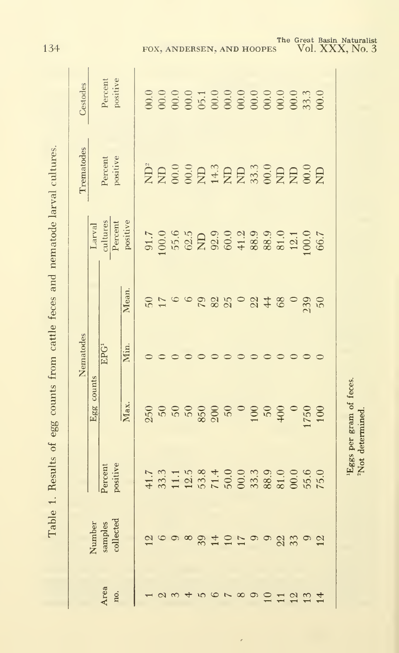| Į<br>$\overline{a}$                |
|------------------------------------|
| is from cattle feces and nemator   |
|                                    |
|                                    |
|                                    |
|                                    |
| <u>. שאת הא</u><br>te at ear count |
| כ<br>כ<br>j<br>!                   |
| $\overline{\phantom{a}}$           |
| I                                  |
|                                    |
| l dulle 1<br>.<br>E                |

|                 |                                |          |                         | Nematodes        |               |                     | Trematodes     | Cestodes            |
|-----------------|--------------------------------|----------|-------------------------|------------------|---------------|---------------------|----------------|---------------------|
|                 |                                |          | Egg counts              |                  |               | Larval              |                |                     |
| Area            | Number<br>samples<br>collected | Percent  |                         | EPG <sup>1</sup> |               | cultures<br>Percent | Percent        | Percent<br>positive |
| no.             |                                | positive |                         |                  |               |                     | positive       |                     |
|                 |                                |          | $\overline{\text{Max}}$ | Min.             | Mean.         | positive            |                |                     |
|                 | $\overline{2}$                 |          |                         |                  |               |                     |                |                     |
|                 |                                |          |                         |                  | 71            |                     |                |                     |
|                 | $\Theta$                       |          |                         |                  |               |                     |                |                     |
|                 | $\infty$                       |          |                         |                  |               |                     |                |                     |
|                 | 39                             |          |                         |                  | 6225          |                     | ERSSEHER#SERSE |                     |
|                 | $\overline{1}$                 |          |                         |                  |               |                     |                |                     |
|                 | 10                             |          |                         |                  |               |                     |                |                     |
|                 | 17                             |          |                         |                  |               |                     |                |                     |
| $\circ$         | $\Theta$                       |          |                         |                  | $-8128$       |                     |                |                     |
| 10              | $\circ$                        |          |                         |                  |               |                     |                |                     |
| 11 <sub>2</sub> | $\overline{22}$                |          |                         |                  |               |                     |                |                     |
|                 | 33                             |          |                         |                  |               |                     |                |                     |
| 13              | $\circ$                        |          |                         |                  | $\frac{1}{2}$ |                     |                |                     |
|                 | 12                             |          | 100                     |                  |               |                     |                |                     |

ł

134

'Eggs per gram of feces.<br>"Not determined.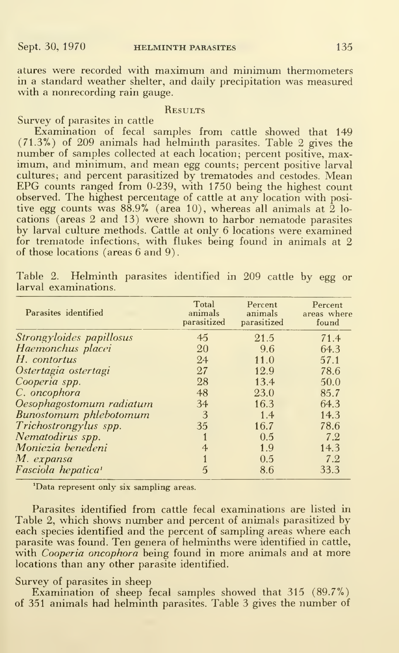atures were recorded with maximum and minimum thermometers in a standard weather shelter, and daily precipitation was measured with a nonrecording rain gauge.

#### **RESULTS**

Survey of parasites in cattle

Examination of fecal samples from cattle showed that 149 (71.3%) of 209 animals had helminth parasites. Table 2 gives the number of samples collected at each location; percent positive, max imum, and minimum, and mean egg counts; percent positive larval cultures; and percent parasitized by trematodes and cestodes. Mean EPG counts ranged from 0-239, with 1750 being the highest count observed. The highest percentage of cattle at any location with posi tive egg counts was  $88.9\%$  (area 10), whereas all animals at 2 locations (areas 2 and 13) were shown to harbor nematode parasites by larval culture methods. Cattle at only 6 locations were examined for trematode infections, with flukes being found in animals at 2 of those locations (areas 6 and 9)

| Table 2. Helminth parasites identified in 209 cattle by egg or |  |  |  |  |  |
|----------------------------------------------------------------|--|--|--|--|--|
| larval examinations.                                           |  |  |  |  |  |

| Parasites identified           | Total<br>animals<br>parasitized | Percent<br>animals<br>parasitized | Percent<br>areas where<br>found |
|--------------------------------|---------------------------------|-----------------------------------|---------------------------------|
| Strongyloides papillosus       | 45                              | 21.5                              | 71.4                            |
| Haemonchus placei              | 20                              | 9.6                               | 64.3                            |
| H. contortus                   | 24                              | 11.0                              | 57.1                            |
| Ostertagia ostertagi           | 27                              | 12.9                              | 78.6                            |
| Cooperia spp.                  | 28                              | 13.4                              | 50.0                            |
| C. oncophora                   | 48                              | 23.0                              | 85.7                            |
| Oesophagostomum radiatum       | 34                              | 16.3                              | 64.3                            |
| Bunostomum phlebotomum         | 3                               | 1.4                               | 14.3                            |
| Trichostrongylus spp.          | 35                              | 16.7                              | 78.6                            |
| Nematodirus spp.               |                                 | 0.5                               | 7.2                             |
| Moniezia benedeni              | $\overline{4}$                  | 1.9                               | 14.3                            |
| M. expansa                     |                                 | 0.5                               | 7.2                             |
| Fasciola hepatica <sup>1</sup> | $\mathbf{5}$                    | 8.6                               | 33.3                            |

'Data represent only six sampling areas.

Parasites identified from cattle fecal examinations are listed in Table 2, which shows number and percent of animals parasitized by each species identified and the percent of sampling areas where each parasite was found. Ten genera of helminths were identified in cattle, with Cooperia oncophora being found in more animals and at more locations than any other parasite identified.

#### Survey of parasites in sheep

Examination of sheep fecal samples showed that 315 (89.7%)<br>of 351 animals had helminth parasites. Table 3 gives the number of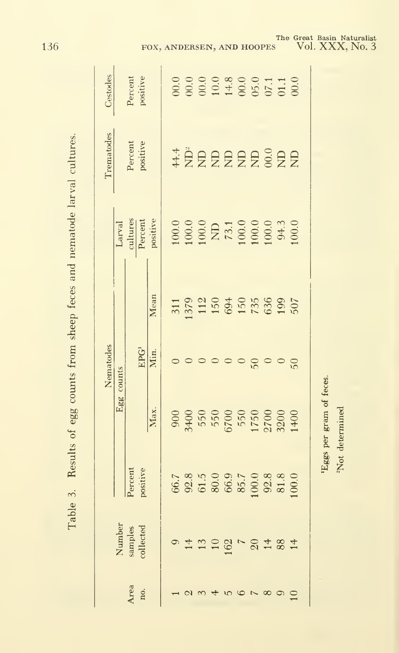| Cestodes   |            | Percent<br>positive            |                                           |  |                                                                                                                                                    |        |                          |          |                |  |
|------------|------------|--------------------------------|-------------------------------------------|--|----------------------------------------------------------------------------------------------------------------------------------------------------|--------|--------------------------|----------|----------------|--|
| Trematodes |            | Percent<br>positive            |                                           |  | # 22222232                                                                                                                                         |        |                          |          |                |  |
|            |            |                                | Larval<br>cultures<br>Percent<br>positive |  |                                                                                                                                                    |        |                          |          |                |  |
|            |            |                                | Mean                                      |  |                                                                                                                                                    |        |                          |          |                |  |
| Nematodes  |            | ${\rm EPG^1}$                  | Min.                                      |  |                                                                                                                                                    |        | $\frac{6}{5}$            |          | $\frac{0}{50}$ |  |
|            | Egg counts |                                | Max.                                      |  | $\begin{array}{l} 000 \\ 900 \\ 750 \\ 650 \\ 700 \\ 80 \\ 1750 \\ 1750 \\ 2000 \\ 1400 \\ 1400 \\ \end{array}$                                    |        |                          |          |                |  |
|            |            | Percent<br>positive            |                                           |  | $66.7$ $66.8$ $67.8$ $69.8$ $69.6$ $69.8$ $69.8$ $69.8$ $69.8$ $69.8$ $69.8$ $69.8$ $69.8$ $69.8$ $69.8$ $69.8$ $69.8$ $69.8$ $69.8$ $69.8$ $69.8$ |        |                          |          |                |  |
|            |            | Number<br>samples<br>collected |                                           |  | 122072482                                                                                                                                          |        |                          |          |                |  |
|            |            | $Area$ no.                     |                                           |  |                                                                                                                                                    | 5<br>6 | $\overline{\phantom{0}}$ | $\infty$ |                |  |

Results of egg counts from sheep feces and nematode larval cultures. Table 3.

136

The Great Basin Naturalist<br>
S Vol. XXX, No. 3

'Eggs per gram of feces. <sup>2</sup>Not determined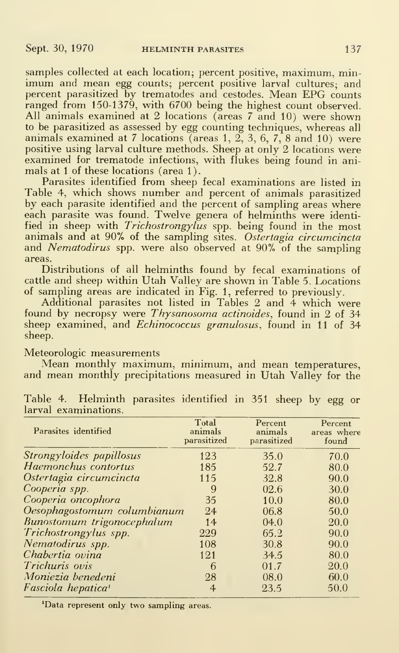samples collected at each location; percent positive, maximum, minimum and mean egg counts; percent positive larval cultures; and percent parasitized by trematodes and cestodes. Mean EPG counts ranged from 150-1379, with 6700 being the highest count observed. All animals examined at 2 locations (areas <sup>7</sup> and 10) were shown to be parasitized as assessed by egg counting techniques, whereas all animals examined at 7 locations (areas  $1, 2, 3, 6, 7, 8$  and  $10$ ) were positive using larval culture methods. Sheep at only 2 locations were examined for trematode infections, with flukes being found in animals at <sup>1</sup>of these locations (area <sup>1</sup> ).

Parasites identified from sheep fecal examinations are listed in Table 4, which shows number and percent of animals parasitized by each parasite identified and the percent of sampling areas where each parasite was found. Twelve genera of helminths were identified in sheep with Trichostrongylus spp. being found in the most animals and at 90% of the sampling sites. Ostertagia circumcincta and Nematodirus spp. were also observed at 90% of the sampling areas.

Distributions of all helminths found by fecal examinations of cattle and sheep within Utah Valley are shown in Table 5. Locations of sampling areas are indicated in Fig. 1, referred to previously.

Additional parasites not listed in Tables 2 and 4 which were found by necropsy were *Thysanosoma actinoides*, found in 2 of 34 sheep examined, and *Echinococcus granulosus*, found in 11 of 34 sheep.

Meteorologic measurements

Mean monthly maximum, minimum, and mean temperatures, and mean monthly precipitations measured in Utah Valley for the

| Parasites identified           | Total<br>animals<br>parasitized | Percent<br>animals<br>parasitized | Percent<br>areas where<br>found |
|--------------------------------|---------------------------------|-----------------------------------|---------------------------------|
| Strongyloides papillosus       | 123                             | 35.0                              | 70.0                            |
| Haemonchus contortus           | 185                             | 52.7                              | 80.0                            |
| Ostertagia circumcincta        | 115                             | 32.8                              | 90.0                            |
| Cooperia spp.                  | 9                               | 02.6                              | 30.0                            |
| Cooperia oncophora             | 35                              | 10.0                              | 80.0                            |
| Oesophagostomum columbianum    | 24                              | 06.8                              | 50.0                            |
| Bunostomum trigonocephalum     | 14                              | (04.0)                            | 20.0                            |
| Trichostrongylus spp.          | 229                             | 65.2                              | 90.0                            |
| Nematodirus spp.               | 108                             | 30.8                              | 90.0                            |
| Chabertia ovina                | 121                             | 34.5                              | 80.0                            |
| <i>Trichuris ovis</i>          | 6                               | 01.7                              | 20.0                            |
| Moniezia benedeni              | 28                              | 08.0                              | 60.0                            |
| Fasciola hepatica <sup>1</sup> | $\overline{4}$                  | 23.5                              | 50.0                            |

Table 4. Helminth parasites identified in 351 sheep by egg or larval examinations.

'Data represent only two sampling areas.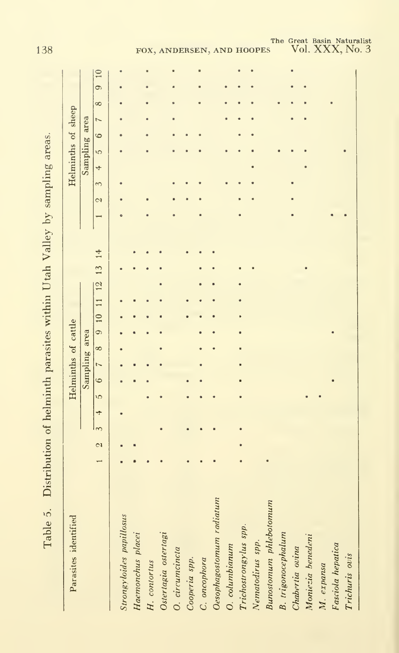| reate but unes in itel<br>)<br>Ī |
|----------------------------------|
| ֧֚֚֝<br>֧֚֚֚֝                    |
| )<br>}                           |
| Jtah Val<br>í,                   |
|                                  |
| I narasura satisaran n           |
|                                  |
| با<br>ب                          |
|                                  |
| .<br>د<br>l abl<br>֚֚֚֚֡<br>֧֚֝  |

| Parasites identified      |              |          |   |            | Helminths of cattle |                |          |  |                  |  |  |         |          | Helminths of sheep |               |                |                |          |      |  |
|---------------------------|--------------|----------|---|------------|---------------------|----------------|----------|--|------------------|--|--|---------|----------|--------------------|---------------|----------------|----------------|----------|------|--|
|                           |              |          |   |            | Sampling area       |                |          |  |                  |  |  |         |          |                    | Sampling area |                |                |          |      |  |
|                           | $\mathbb{C}$ | $\infty$ | 4 | $\sqrt{2}$ | $\circ$             | $\overline{a}$ | $\infty$ |  | 9 10 11 12 13 14 |  |  | $\circ$ | $\infty$ | 4                  | $\tilde{c}$   | $\ddot{\circ}$ | $\overline{ }$ | $\infty$ | 9 10 |  |
| Strongyloides papillosus  |              |          |   |            |                     |                |          |  |                  |  |  |         |          |                    |               |                |                |          |      |  |
| Haemonchus placei         |              |          |   |            |                     |                |          |  |                  |  |  |         |          |                    |               |                |                |          |      |  |
| H. contortus              |              |          |   |            |                     |                |          |  |                  |  |  |         |          |                    |               |                |                |          |      |  |
| Ostertagia ostertagi      |              |          |   |            |                     |                |          |  |                  |  |  |         |          |                    |               |                |                |          |      |  |
| O. circumcincta           |              |          |   |            |                     |                |          |  |                  |  |  |         |          |                    |               |                |                |          |      |  |
| Cooperia spp.             |              |          |   |            |                     |                |          |  |                  |  |  |         |          |                    |               |                |                |          |      |  |
| C. oncophora              |              |          |   |            |                     |                |          |  |                  |  |  |         |          |                    |               |                |                |          |      |  |
| Oesophagostomum radiatum  |              |          |   |            |                     |                |          |  |                  |  |  |         |          |                    |               |                |                |          |      |  |
| O. columbianum            |              |          |   |            |                     |                |          |  |                  |  |  |         |          |                    |               |                |                |          |      |  |
| Trichostrongylus spp.     |              |          |   |            |                     |                |          |  |                  |  |  |         |          |                    |               |                |                |          |      |  |
| Nematodirus spp.          |              |          |   |            |                     |                |          |  |                  |  |  |         |          |                    |               |                |                |          |      |  |
| Bunostomum phlebotomum    |              |          |   |            |                     |                |          |  |                  |  |  |         |          |                    |               |                |                |          |      |  |
| <b>B.</b> trigonocephalum |              |          |   |            |                     |                |          |  |                  |  |  |         |          |                    |               |                |                |          |      |  |
| Chabertia ovina           |              |          |   |            |                     |                |          |  |                  |  |  |         |          |                    |               |                |                |          |      |  |
| Moniezia benedeni         |              |          |   |            |                     |                |          |  |                  |  |  |         |          |                    |               |                |                |          |      |  |
| M. expansa                |              |          |   |            |                     |                |          |  |                  |  |  |         |          |                    |               |                |                |          |      |  |
| Fasciola hepatica         |              |          |   |            |                     |                |          |  |                  |  |  |         |          |                    |               |                |                |          |      |  |
| Trichuris ovis            |              |          |   |            |                     |                |          |  |                  |  |  |         |          |                    |               |                |                |          |      |  |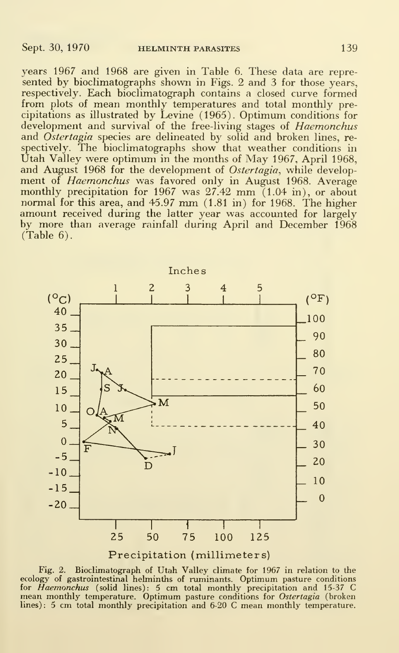years 1967 and 1968 are given in Table 6. These data are repre sented by bioclimatographs shown in Figs. 2 and 3 for those years, respectively. Each bioclimatograph contains a closed curve formed from plots of mean monthly temperatures and total monthly precipitations as illustrated by Levine (1965). Optimum conditions for development and survival of the free-living stages of *Haemonchus* and *Ostertagia* species are delineated by solid and broken lines, respectively. The bioclimatographs show that weather conditions in Utah Valley were optimum in the months of May 1967, April 1968, and August 1968 for the development of Ostertagia, while development of Haemonchus was favored only in August 1968. Average monthly precipitation for 1967 was  $27.42$  mm  $(1.04 \text{ in})$ , or about normal for this area, and 45.97 mm (1.81 in) for 1968. The higher amount received during the latter year was accounted for largely by more than average rainfall during April and December 1968 (Table 6).



Precipitation (millimeters)

Fig. 2. Bioclimatograph of Utah Valley climate for 1967 in relation to the ecology of gastrointestinal helminths of ruminants. Optimum pasture conditions for *Haemonchus* (solid lines): 5 cm total monthly precipitation and lines) : <sup>5</sup> cm total monthly precipitation and 6-20 C mean monthly temperature.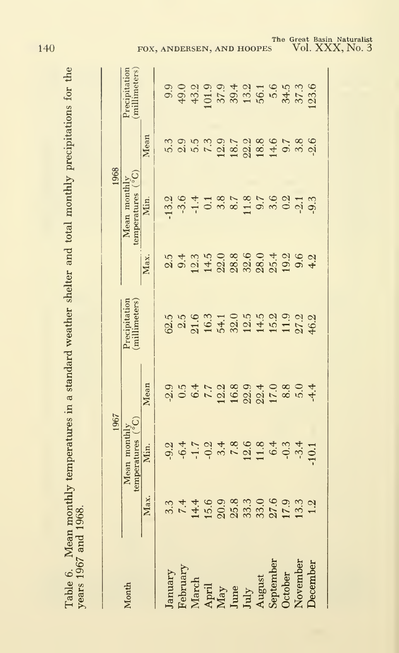| 25.7            |  |
|-----------------|--|
|                 |  |
| ֧֛֓֜֜֓֕׆        |  |
| $5 - 5$         |  |
|                 |  |
| m lotal has we  |  |
| $\frac{1}{2}$   |  |
|                 |  |
| an in a ctame   |  |
|                 |  |
|                 |  |
| <b>את בוד</b>   |  |
|                 |  |
| ,,,             |  |
|                 |  |
| $\tilde{\zeta}$ |  |
| <b>Section</b>  |  |
|                 |  |
|                 |  |
|                 |  |
|                 |  |

| Max.<br>Precipitation<br>$\frac{6}{68}$ $\frac{6}{38}$ $\frac{6}{38}$ $\frac{7}{38}$ $\frac{6}{38}$ $\frac{6}{38}$ $\frac{7}{38}$ $\frac{8}{38}$ $\frac{6}{38}$ $\frac{7}{38}$ $\frac{7}{38}$ $\frac{8}{38}$ $\frac{8}{38}$ $\frac{1}{38}$ $\frac{1}{38}$ $\frac{1}{38}$ $\frac{6}{38}$ $\frac{8}{38}$<br>Mean<br>Mean monthl<br>temperatures<br>2<br>9 4 5 9 4 8 9 9 8 4 9 7 4 7<br>Min.<br>Max.<br>7.4699899099932<br>$3.\overline{3}$<br>$\rm \frac{April}{\rm Max}$<br>June<br>July<br>August<br>August<br>February<br>January<br>October<br>March<br>Month |          | 1967 |  | 1968                                |      |                                                                     |
|-----------------------------------------------------------------------------------------------------------------------------------------------------------------------------------------------------------------------------------------------------------------------------------------------------------------------------------------------------------------------------------------------------------------------------------------------------------------------------------------------------------------------------------------------------------------|----------|------|--|-------------------------------------|------|---------------------------------------------------------------------|
|                                                                                                                                                                                                                                                                                                                                                                                                                                                                                                                                                                 |          |      |  | Mean monthly<br><i>comperatures</i> |      | Precipitation                                                       |
|                                                                                                                                                                                                                                                                                                                                                                                                                                                                                                                                                                 |          |      |  | Min.                                | Mean |                                                                     |
|                                                                                                                                                                                                                                                                                                                                                                                                                                                                                                                                                                 |          |      |  |                                     | 5.3  |                                                                     |
|                                                                                                                                                                                                                                                                                                                                                                                                                                                                                                                                                                 |          |      |  |                                     |      |                                                                     |
|                                                                                                                                                                                                                                                                                                                                                                                                                                                                                                                                                                 |          |      |  | $13.0$<br>$-1.4$<br>$-1.0$          |      |                                                                     |
|                                                                                                                                                                                                                                                                                                                                                                                                                                                                                                                                                                 |          |      |  |                                     |      |                                                                     |
|                                                                                                                                                                                                                                                                                                                                                                                                                                                                                                                                                                 |          |      |  |                                     |      |                                                                     |
|                                                                                                                                                                                                                                                                                                                                                                                                                                                                                                                                                                 |          |      |  |                                     |      |                                                                     |
|                                                                                                                                                                                                                                                                                                                                                                                                                                                                                                                                                                 |          |      |  |                                     |      | 0<br>0 0 0 0 0 0 4 0 5 6 6 7 6 7 6<br>0 0 9 9 0 9 7 9 7 9 7 9 7 9 7 |
|                                                                                                                                                                                                                                                                                                                                                                                                                                                                                                                                                                 |          |      |  |                                     |      |                                                                     |
|                                                                                                                                                                                                                                                                                                                                                                                                                                                                                                                                                                 |          |      |  |                                     |      |                                                                     |
|                                                                                                                                                                                                                                                                                                                                                                                                                                                                                                                                                                 |          |      |  |                                     |      |                                                                     |
|                                                                                                                                                                                                                                                                                                                                                                                                                                                                                                                                                                 | November |      |  |                                     |      |                                                                     |
| 4.2<br><b>December</b>                                                                                                                                                                                                                                                                                                                                                                                                                                                                                                                                          |          |      |  |                                     |      |                                                                     |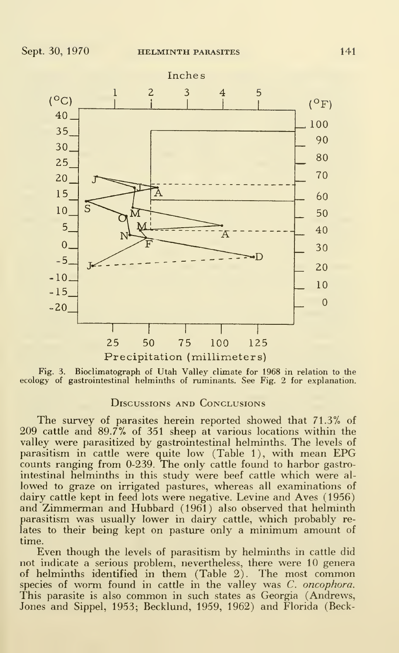

Fig. 3. Bioclimatograph of Utah Valley climate for 1968 in relation to the ecology of gastrointestinal helminths of ruminants. See Fig. 2 for explanation.

#### Discussions and Conclusions

The survey of parasites herein reported showed that 71.3% of 209 cattle and 89.7% of 351 sheep at various locations within the valley were parasitized by gastrointestinal helminths. The levels of parasitism in cattle were quite low (Table 1), with mean EPG counts ranging from 0-239. The only cattle found to harbor gastrointestinal helminths in this study were beef cattle which were al lowed to graze on irrigated pastures, whereas all examinations of dairy cattle kept in feed lots were negative. Levine and Aves (1956) and Zimmerman and Hubbard (1961) also observed that helminth parasitism was usually lower in dairy cattle, which probably re lates to their being kept on pasture only <sup>a</sup> minimum amount of time.

Even though the levels of parasitism by helminths in cattle did not indicate a serious problem, nevertheless, there were 10 genera of helminths identified in them (Table 2). The most common species of worm found in cattle in the valley was C. oncophora. This parasite is also common in such states as Georgia (Andrews, Jones and Sippel, 1953; Becklund, 1959, 1962) and Florida (Beck-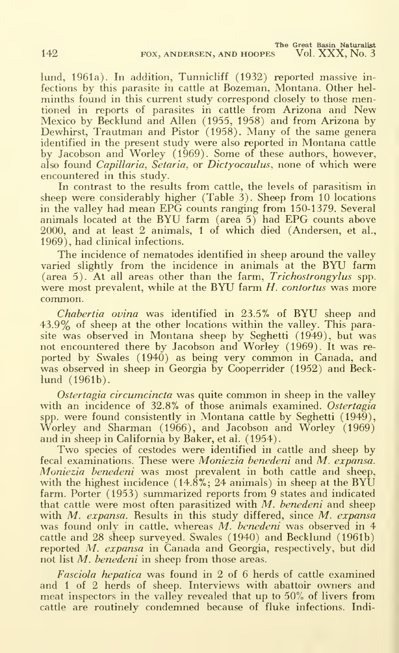lund, 1961a). In addition, Tunnicliff (1932) reported massive in fections by this parasite in cattle at Bozeman, Montana. Other hel minths found in this current study correspond closely to those mentioned in reports of parasites in cattle from Arizona and New Mexico by Becklund and Allen (1955, 1958) and from Arizona by Dewhirst, Trautman and Pistor (1958). Many of the same genera identified in the present study were also reported in Montana cattle by Jacobson and Worley (1969). Some of these authors, however, also found Capillaria, Setaria, or Dictyocaulus, none of which were encountered in this study.

In contrast to the results from cattle, the levels of parasitism in sheep were considerably higher (Table 3). Sheep from 10 locations in the valley had mean EPG counts ranging from 150-1379. Several animals located at the BYU farm (area 5) had EPG counts above 2000, and at least 2 animals, <sup>1</sup> of which died (Andersen, et al., 1969), had clinical infections.

The incidence of nematodes identified in sheep around the valley varied slightly from the incidence in animals at the BYU farm (area 5). At all areas other than the farm, Trichostrongylus spp. were most prevalent, while at the BYU farm H. contortus was more common.

Chabertia ovina was identified in 23.5% of BYU sheep and 43.9% of sheep at the other locations within the valley. This parasite was observed in Montana sheep by Seghetti (1949), but was not encountered there by Jacobson and Worley (1969). It was re ported by Swales (1940) as being very common in Canada, and was observed in sheep in Georgia by Cooperrider (1952) and Becklund (1961b).

Ostertagia circumcincta was quite common in sheep in the valley with an incidence of 32.8% of those animals examined. Ostertagia spp. were found consistently in Montana cattle by Seghetti (1949), Worley and Sharman (1966), and Jacobson and Worley (1969) and in sheep in California by Baker, et al. (1954)

Two species of cestodes were identified in cattle and sheep by fecal examinations. These were Moniezia benedeni and M. expansa. Moniezia benedeni was most prevalent in both cattle and sheep, with the highest incidence (14.8%; 24 animals) in sheep at the BYU farm. Porter (1953) summarized reports from 9 states and indicated that cattle were most often parasitized with  $M$ . benedeni and sheep with  $M$ . expansa. Results in this study differed, since  $M$ . expansa was found only in cattle, whereas M. benedeni was observed in 4 cattle and 28 sheep surveyed. Swales (1940) and Becklund (1961b) reported M. expansa in Canada and Georgia, respectively, but did not list *M. benedeni* in sheep from those areas.

Fasciola hepatica was found in 2 of 6 herds of cattle examined and <sup>1</sup> of 2 herds of sheep. Interviews with abattoir owners and meat inspectors in the valley revealed that up to 50% of livers from cattle are routinely condemned because of fluke infections. Indi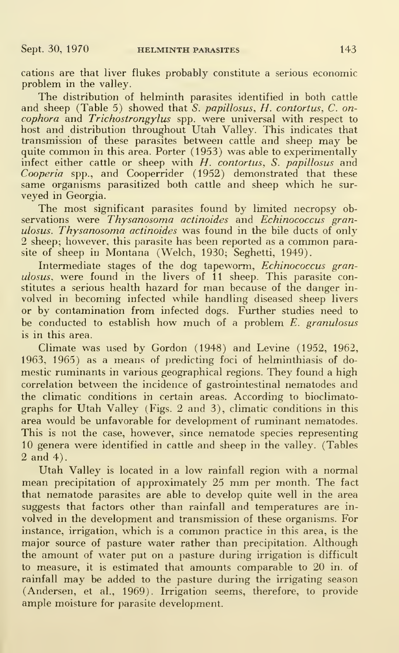cations are that liver flukes probably constitute a serious economic problem in the valley.

The distribution of helminth parasites identified in both cattle and sheep (Table 5) showed that S. papillosus, H. contortus, C. oncophora and Trichostrongylus spp. were universal with respect to host and distribution throughout Utah Valley. This indicates that transmission of these parasites between cattle and sheep may be quite common in this area. Porter (1953) was able to experimentally infect either cattle or sheep with  $H$ . contortus, S. papillosus and Cooperia spp., and Cooperrider (1952) demonstrated that these same organisms parasitized both cattle and sheep which he sur veyed in Georgia.

The most significant parasites found by limited necropsy observations were *Thysanosoma actinoides* and *Echinococcus* granulosus. Thysanosoma actinoides was found in the bile ducts of only 2 sheep; however, this parasite has been reported as <sup>a</sup> common parasite of sheep in Montana (Welch, 1930; Seghetti, 1949).

Intermediate stages of the dog tapeworm, Echinococcus granulosus, were found in the livers of 11 sheep. This parasite constitutes <sup>a</sup> serious health hazard for man because of the danger in volved in becoming infected while handling diseased sheep livers or by contamination from infected dogs. Further studies need to be conducted to establish how much of a problem  $E$ . granulosus is in this area.

Climate was used by Gordon (1948) and Levine (1952, 1962, 1963, 1965) as a means of predicting foci of helminthiasis of domestic ruminants in various geographical regions. They found a high correlation between the incidence of gastrointestinal nematodes and the climatic conditions in certain areas. According to biociimatographs for Utah Valley (Figs. 2 and 3), climatic conditions in this area would be unfavorable for development of ruminant nematodes. This is not the case, however, since nematode species representing 10 genera were identified in cattle and sheep in the valley. (Tables 2 and 4).

Utah Valley is located in a low rainfall region with a normal mean precipitation of approximately <sup>25</sup> mm per month. The fact that nematode parasites are able to develop quite well in the area suggests that factors other than rainfall and temperatures are in volved in the development and transmission of these organisms. For instance, irrigation, which is <sup>a</sup> common practice in this area, is the major source of pasture water rather than precipitation. Although the amount of water put on a pasture during irrigation is difficult to measure, it is estimated that amounts comparable to 20 in. of rainfall may be added to the pasture during the irrigating season (Andersen, et al., 1969). Irrigation seems, therefore, to provide ample moisture for parasite development.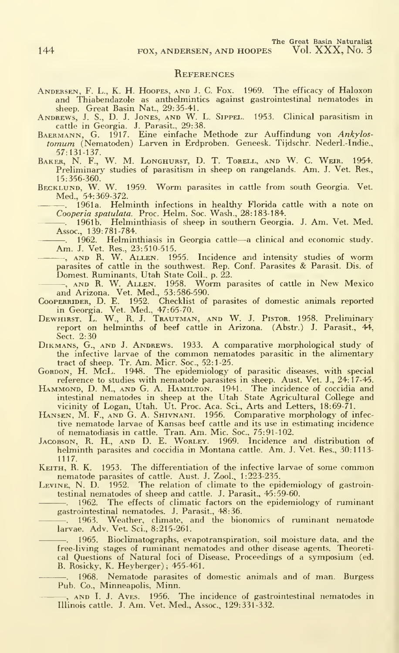#### **REFERENCES**

- Andersen, F. L., K. H. Hoopes, and J.C. Fox. 1969. The efficacy of Haloxon
- 
- and Thiabendazole as anthelmintics against gastrointestinal nematodes in<br>sheep. Great Basin Nat., 29:35-41.<br>ANDREWS, J. S., D. J. J. J. S. S. D. J. J. S. Clinical parasitism in<br>cattle in Georgia. J. Parasit., 29:38.<br>BAERMA
- 57:131-137. Baker, N. F., W. M. Longhurst, D. T. Torell, and W. C. Weir. 1954. Preliminary studies of parasitism in sheep on rangelands. Am. J. Vet. Res.,
- 15:356-360. Becklund, W. W. 1959. Worm parasites in cattle from south Georgia. Vet. Med., 54:369-372.
	- . 1961a. Helminth infections in healthy Florida cattle with a note on Cooperia spatulata. Proc. Helm. Soc. Wash., 28:183-184.
	- . 1961b. Helminthiasis of sheep in southern Georgia. J. Am. Vet. Med. Assoc., 139:781-784.
	- . 1962. Helminthiasis in Georgia cattle—<sup>a</sup> clinical and economic study. Am. J. Vet. Res., 23:510-515. , AND R. W. Allen. 1955. Incidence and intensity studies of worm
	- parasites of cattle in the southwest. Rep. Conf. Parasites & Parasit. Dis. of Domest. Ruminants, Utah State Coll., p. 22.
- AND R. W. ALLEN. 1958. Worm parasites of cattle in New Mexico<br>and Arizona. Vet. Med., 53:586-590.<br>CooperRider, D. E. 1952. Checklist of parasites of domestic animals reported
- 
- in Georgia. Vet. Med., 47:65-70.<br>Dewhirst, L. W., R. J. Trautman, and W. J. Pistor. 1958. Preliminary report on helminths of beef cattle in Arizona. (Abstr.) J. Parasit., 44, Sect. 2:30
- DiKMANS, G., AND J. ANDREWS. 1933. A Comparative morphological study of the infective larvae of the common nematodes parasitic in the alimentary tract of sheep. Tr. Am. Micr. Soc, 52:1-25. Gordon, H. McL. 1948. The epidemiology of parasitic diseases, with special
- 
- reference to studies with nematode parasites in sheep. Aust. Vet. J., 24:17-45.<br>HAMMOND, D. M., AND G. A. HAMILTON. 1941. The incidence of coccidia and<br>intestinal nematodes in sheep at the Utah State Agricultural College a vicinity of Logan, Utah. Ut. Proc. Aca. Sci., Arts and Letters, 18:69-71.<br>HANSEN, M. F., AND G. A. SHIVNANI. 1956. Comparative morphology of infec-
- tive nematode larvae of Kansas beef cattle and its use in estimating incidence of nematodiasis in cattle. Tran. Am. Mic. Soc, 75:91-102.
- Jacobson, R. H., and D. E. Worley. 1969. Incidence and distribution of helminth parasites and coccidia in Montana cattle. Am. J. Vet. Res., 30:1113- 1117.
- KEITH, R. K. 1953. The differentiation of the infective larvae of some common
- nematode parasites of cattle. Aust. J. Zool., 1:223-235. Levine, N. D. 1952. The relation of climate to the epidemiology of gastrointestinal nematodes of sheep and cattle. J. Parasit., 45:59-60.
	- . 1962. The effects of climatic factors on the epidemiology of ruminant gastrointestinal nematodes. J. Parasit., 48:36.
- . 1963. Weather, climate, and the bionomics of ruminant nematode larvae. Adv. Vet. Sci., 8:215-261.
	- . 1965. Bioclimatographs, evapotranspiration, soil moisture data, and the free-living stages of ruminant nematodes and other disease agents. Theoreti-cal Questions of Natural foci of Disease. Proceedings of a symposium (ed. B. Rosicky, K. Heyberger); 455-461.
	- 1968. Nematode parasites of domestic animals and of man. Burgess Pub. Co., Minneapolis, Minn.
		- —, ann I. J. Aves. 1956. The incidence of gastrointestinal nematodes in <br>Illinois cattle. J. Am. Vet. Med., Assoc., 129:331-332.